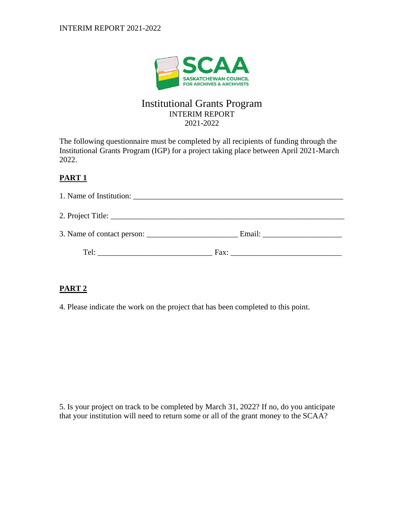

## Institutional Grants Program INTERIM REPORT 2021-2022

The following questionnaire must be completed by all recipients of funding through the Institutional Grants Program (IGP) for a project taking place between April 2021-March 2022.

## **PART 1**

| Tel:<br><u> 1980 - John Stone, amerikansk politiker (</u> | Fax: |  |
|-----------------------------------------------------------|------|--|

## **PART 2**

4. Please indicate the work on the project that has been completed to this point.

5. Is your project on track to be completed by March 31, 2022? If no, do you anticipate that your institution will need to return some or all of the grant money to the SCAA?